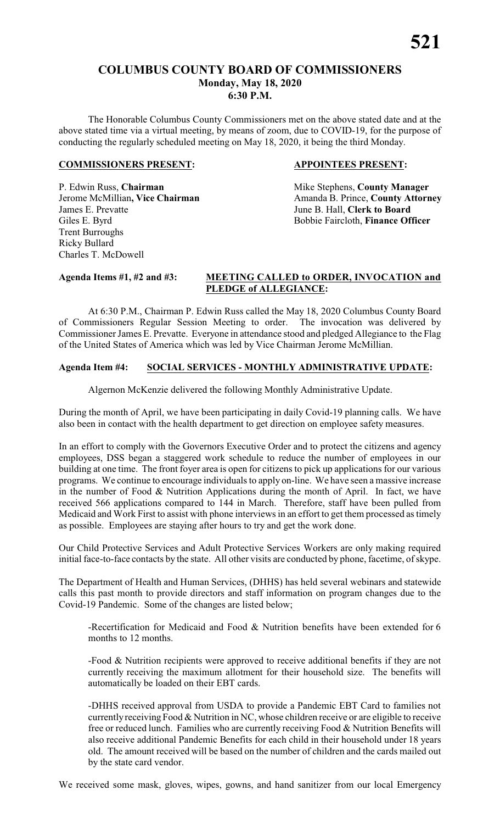# **COLUMBUS COUNTY BOARD OF COMMISSIONERS Monday, May 18, 2020 6:30 P.M.**

The Honorable Columbus County Commissioners met on the above stated date and at the above stated time via a virtual meeting, by means of zoom, due to COVID-19, for the purpose of conducting the regularly scheduled meeting on May 18, 2020, it being the third Monday.

#### **COMMISSIONERS PRESENT: APPOINTEES PRESENT:**

P. Edwin Russ, **Chairman** Mike Stephens, **County Manager** James E. Prevatte June B. Hall, **Clerk to Board** Giles E. Byrd Bobbie Faircloth, **Finance Officer** Trent Burroughs Ricky Bullard Charles T. McDowell

Jerome McMillian, Vice Chairman Amanda B. Prince, County Attorney

# **Agenda Items #1, #2 and #3: MEETING CALLED to ORDER, INVOCATION and PLEDGE of ALLEGIANCE:**

At 6:30 P.M., Chairman P. Edwin Russ called the May 18, 2020 Columbus County Board of Commissioners Regular Session Meeting to order. The invocation was delivered by Commissioner James E. Prevatte. Everyone in attendance stood and pledged Allegiance to the Flag of the United States of America which was led by Vice Chairman Jerome McMillian.

# **Agenda Item #4: SOCIAL SERVICES - MONTHLY ADMINISTRATIVE UPDATE:**

Algernon McKenzie delivered the following Monthly Administrative Update.

During the month of April, we have been participating in daily Covid-19 planning calls. We have also been in contact with the health department to get direction on employee safety measures.

In an effort to comply with the Governors Executive Order and to protect the citizens and agency employees, DSS began a staggered work schedule to reduce the number of employees in our building at one time. The front foyer area is open for citizens to pick up applications for our various programs. We continue to encourage individuals to apply on-line. We have seen a massive increase in the number of Food  $\&$  Nutrition Applications during the month of April. In fact, we have received 566 applications compared to 144 in March. Therefore, staff have been pulled from Medicaid and Work First to assist with phone interviews in an effort to get them processed as timely as possible. Employees are staying after hours to try and get the work done.

Our Child Protective Services and Adult Protective Services Workers are only making required initial face-to-face contacts by the state. All other visits are conducted by phone, facetime, of skype.

The Department of Health and Human Services, (DHHS) has held several webinars and statewide calls this past month to provide directors and staff information on program changes due to the Covid-19 Pandemic. Some of the changes are listed below;

-Recertification for Medicaid and Food & Nutrition benefits have been extended for 6 months to 12 months.

-Food & Nutrition recipients were approved to receive additional benefits if they are not currently receiving the maximum allotment for their household size. The benefits will automatically be loaded on their EBT cards.

-DHHS received approval from USDA to provide a Pandemic EBT Card to families not currentlyreceiving Food & Nutrition in NC, whose children receive or are eligible to receive free or reduced lunch. Families who are currently receiving Food & Nutrition Benefits will also receive additional Pandemic Benefits for each child in their household under 18 years old. The amount received will be based on the number of children and the cards mailed out by the state card vendor.

We received some mask, gloves, wipes, gowns, and hand sanitizer from our local Emergency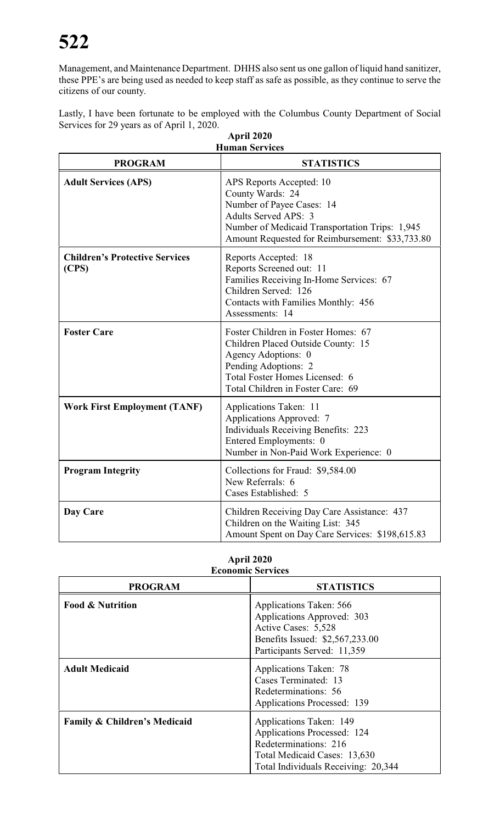Management, and Maintenance Department. DHHS also sent us one gallon of liquid hand sanitizer, these PPE's are being used as needed to keep staff as safe as possible, as they continue to serve the citizens of our county.

Lastly, I have been fortunate to be employed with the Columbus County Department of Social Services for 29 years as of April 1, 2020.

| <b>Human Services</b>                          |                                                                                                                                                                                                               |  |  |
|------------------------------------------------|---------------------------------------------------------------------------------------------------------------------------------------------------------------------------------------------------------------|--|--|
| <b>PROGRAM</b>                                 | <b>STATISTICS</b>                                                                                                                                                                                             |  |  |
| <b>Adult Services (APS)</b>                    | APS Reports Accepted: 10<br>County Wards: 24<br>Number of Payee Cases: 14<br><b>Adults Served APS: 3</b><br>Number of Medicaid Transportation Trips: 1,945<br>Amount Requested for Reimbursement: \$33,733.80 |  |  |
| <b>Children's Protective Services</b><br>(CPS) | Reports Accepted: 18<br>Reports Screened out: 11<br>Families Receiving In-Home Services: 67<br>Children Served: 126<br>Contacts with Families Monthly: 456<br>Assessments: 14                                 |  |  |
| <b>Foster Care</b>                             | Foster Children in Foster Homes: 67<br>Children Placed Outside County: 15<br>Agency Adoptions: 0<br>Pending Adoptions: 2<br>Total Foster Homes Licensed: 6<br>Total Children in Foster Care: 69               |  |  |
| <b>Work First Employment (TANF)</b>            | Applications Taken: 11<br>Applications Approved: 7<br><b>Individuals Receiving Benefits: 223</b><br>Entered Employments: 0<br>Number in Non-Paid Work Experience: 0                                           |  |  |
| <b>Program Integrity</b>                       | Collections for Fraud: \$9,584.00<br>New Referrals: 6<br>Cases Established: 5                                                                                                                                 |  |  |
| Day Care                                       | Children Receiving Day Care Assistance: 437<br>Children on the Waiting List: 345<br>Amount Spent on Day Care Services: \$198,615.83                                                                           |  |  |

| April 2020 |  |
|------------|--|
|            |  |

| April 2020               |
|--------------------------|
| <b>Economic Services</b> |

| есопонне эсі тісся                      |                                                                                                                                                        |  |  |  |
|-----------------------------------------|--------------------------------------------------------------------------------------------------------------------------------------------------------|--|--|--|
| <b>PROGRAM</b>                          | <b>STATISTICS</b>                                                                                                                                      |  |  |  |
| <b>Food &amp; Nutrition</b>             | Applications Taken: 566<br>Applications Approved: 303<br>Active Cases: 5,528<br>Benefits Issued: \$2,567,233.00<br>Participants Served: 11,359         |  |  |  |
| <b>Adult Medicaid</b>                   | <b>Applications Taken: 78</b><br>Cases Terminated: 13<br>Redeterminations: 56<br>Applications Processed: 139                                           |  |  |  |
| <b>Family &amp; Children's Medicaid</b> | Applications Taken: 149<br>Applications Processed: 124<br>Redeterminations: 216<br>Total Medicaid Cases: 13,630<br>Total Individuals Receiving: 20,344 |  |  |  |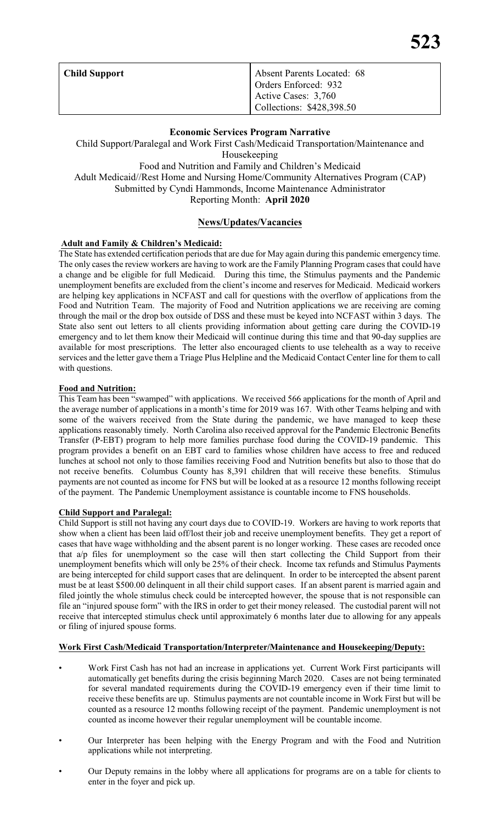| <b>Child Support</b> | Absent Parents Located: 68<br>Orders Enforced: 932 |
|----------------------|----------------------------------------------------|
|                      | Active Cases: 3,760<br>Collections: \$428,398.50   |

#### **Economic Services Program Narrative**

Child Support/Paralegal and Work First Cash/Medicaid Transportation/Maintenance and Housekeeping Food and Nutrition and Family and Children's Medicaid Adult Medicaid//Rest Home and Nursing Home/Community Alternatives Program (CAP) Submitted by Cyndi Hammonds, Income Maintenance Administrator Reporting Month: **April 2020**

## **News/Updates/Vacancies**

#### **Adult and Family & Children's Medicaid:**

The State has extended certification periods that are due for May again during this pandemic emergency time. The only cases the review workers are having to work are the Family Planning Program cases that could have a change and be eligible for full Medicaid. During this time, the Stimulus payments and the Pandemic unemployment benefits are excluded from the client's income and reserves for Medicaid. Medicaid workers are helping key applications in NCFAST and call for questions with the overflow of applications from the Food and Nutrition Team. The majority of Food and Nutrition applications we are receiving are coming through the mail or the drop box outside of DSS and these must be keyed into NCFAST within 3 days. The State also sent out letters to all clients providing information about getting care during the COVID-19 emergency and to let them know their Medicaid will continue during this time and that 90-day supplies are available for most prescriptions. The letter also encouraged clients to use telehealth as a way to receive services and the letter gave them a Triage Plus Helpline and the Medicaid Contact Center line for them to call with questions.

#### **Food and Nutrition:**

This Team has been "swamped" with applications. We received 566 applications for the month of April and the average number of applications in a month's time for 2019 was 167. With other Teams helping and with some of the waivers received from the State during the pandemic, we have managed to keep these applications reasonably timely. North Carolina also received approval for the Pandemic Electronic Benefits Transfer (P-EBT) program to help more families purchase food during the COVID-19 pandemic. This program provides a benefit on an EBT card to families whose children have access to free and reduced lunches at school not only to those families receiving Food and Nutrition benefits but also to those that do not receive benefits. Columbus County has 8,391 children that will receive these benefits. Stimulus payments are not counted as income for FNS but will be looked at as a resource 12 months following receipt of the payment. The Pandemic Unemployment assistance is countable income to FNS households.

#### **Child Support and Paralegal:**

Child Support is still not having any court days due to COVID-19. Workers are having to work reports that show when a client has been laid off/lost their job and receive unemployment benefits. They get a report of cases that have wage withholding and the absent parent is no longer working. These cases are recoded once that a/p files for unemployment so the case will then start collecting the Child Support from their unemployment benefits which will only be 25% of their check. Income tax refunds and Stimulus Payments are being intercepted for child support cases that are delinquent. In order to be intercepted the absent parent must be at least \$500.00 delinquent in all their child support cases. If an absent parent is married again and filed jointly the whole stimulus check could be intercepted however, the spouse that is not responsible can file an "injured spouse form" with the IRS in order to get their money released. The custodial parent will not receive that intercepted stimulus check until approximately 6 months later due to allowing for any appeals or filing of injured spouse forms.

#### **Work First Cash/Medicaid Transportation/Interpreter/Maintenance and Housekeeping/Deputy:**

- Work First Cash has not had an increase in applications yet. Current Work First participants will automatically get benefits during the crisis beginning March 2020. Cases are not being terminated for several mandated requirements during the COVID-19 emergency even if their time limit to receive these benefits are up. Stimulus payments are not countable income in Work First but will be counted as a resource 12 months following receipt of the payment. Pandemic unemployment is not counted as income however their regular unemployment will be countable income.
- Our Interpreter has been helping with the Energy Program and with the Food and Nutrition applications while not interpreting.
- Our Deputy remains in the lobby where all applications for programs are on a table for clients to enter in the foyer and pick up.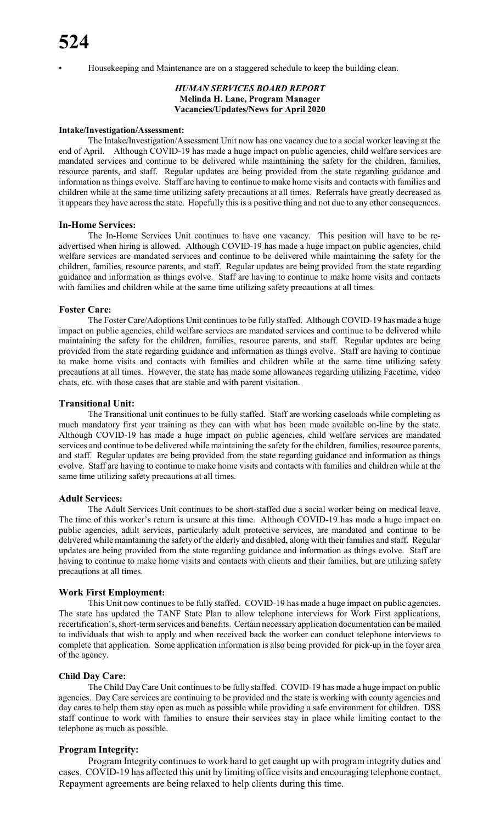• Housekeeping and Maintenance are on a staggered schedule to keep the building clean.

#### *HUMAN SERVICES BOARD REPORT* **Melinda H. Lane, Program Manager Vacancies/Updates/News for April 2020**

#### **Intake/Investigation/Assessment:**

The Intake/Investigation/Assessment Unit now has one vacancy due to a social worker leaving at the end of April. Although COVID-19 has made a huge impact on public agencies, child welfare services are mandated services and continue to be delivered while maintaining the safety for the children, families, resource parents, and staff. Regular updates are being provided from the state regarding guidance and information asthings evolve. Staff are having to continue to make home visits and contacts with families and children while at the same time utilizing safety precautions at all times. Referrals have greatly decreased as it appears they have across the state. Hopefully this is a positive thing and not due to any other consequences.

#### **In-Home Services:**

The In-Home Services Unit continues to have one vacancy. This position will have to be readvertised when hiring is allowed. Although COVID-19 has made a huge impact on public agencies, child welfare services are mandated services and continue to be delivered while maintaining the safety for the children, families, resource parents, and staff. Regular updates are being provided from the state regarding guidance and information as things evolve. Staff are having to continue to make home visits and contacts with families and children while at the same time utilizing safety precautions at all times.

#### **Foster Care:**

The Foster Care/Adoptions Unit continues to be fully staffed. Although COVID-19 has made a huge impact on public agencies, child welfare services are mandated services and continue to be delivered while maintaining the safety for the children, families, resource parents, and staff. Regular updates are being provided from the state regarding guidance and information as things evolve. Staff are having to continue to make home visits and contacts with families and children while at the same time utilizing safety precautions at all times. However, the state has made some allowances regarding utilizing Facetime, video chats, etc. with those cases that are stable and with parent visitation.

#### **Transitional Unit:**

The Transitional unit continues to be fully staffed. Staff are working caseloads while completing as much mandatory first year training as they can with what has been made available on-line by the state. Although COVID-19 has made a huge impact on public agencies, child welfare services are mandated services and continue to be delivered while maintaining the safety for the children, families, resource parents, and staff. Regular updates are being provided from the state regarding guidance and information as things evolve. Staff are having to continue to make home visits and contacts with families and children while at the same time utilizing safety precautions at all times.

#### **Adult Services:**

The Adult Services Unit continues to be short-staffed due a social worker being on medical leave. The time of this worker's return is unsure at this time. Although COVID-19 has made a huge impact on public agencies, adult services, particularly adult protective services, are mandated and continue to be delivered while maintaining the safety of the elderly and disabled, along with their families and staff. Regular updates are being provided from the state regarding guidance and information as things evolve. Staff are having to continue to make home visits and contacts with clients and their families, but are utilizing safety precautions at all times.

#### **Work First Employment:**

This Unit now continues to be fully staffed. COVID-19 has made a huge impact on public agencies. The state has updated the TANF State Plan to allow telephone interviews for Work First applications, recertification's, short-termservices and benefits. Certain necessary application documentation can be mailed to individuals that wish to apply and when received back the worker can conduct telephone interviews to complete that application. Some application information is also being provided for pick-up in the foyer area of the agency.

#### **Child Day Care:**

The Child Day Care Unit continues to be fully staffed. COVID-19 has made a huge impact on public agencies. Day Care services are continuing to be provided and the state is working with county agencies and day cares to help them stay open as much as possible while providing a safe environment for children. DSS staff continue to work with families to ensure their services stay in place while limiting contact to the telephone as much as possible.

#### **Program Integrity:**

Program Integrity continues to work hard to get caught up with program integrity duties and cases. COVID-19 has affected this unit by limiting office visits and encouraging telephone contact. Repayment agreements are being relaxed to help clients during this time.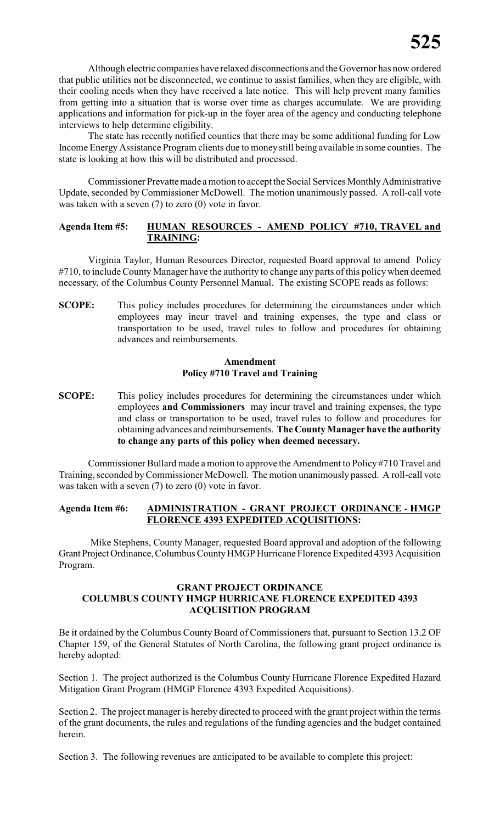Although electric companies have relaxed disconnections and the Governor has now ordered that public utilities not be disconnected, we continue to assist families, when they are eligible, with their cooling needs when they have received a late notice. This will help prevent many families from getting into a situation that is worse over time as charges accumulate. We are providing applications and information for pick-up in the foyer area of the agency and conducting telephone interviews to help determine eligibility.

The state has recently notified counties that there may be some additional funding for Low Income Energy Assistance Program clients due to money still being available in some counties. The state is looking at how this will be distributed and processed.

Commissioner Prevatte made a motion to accept the Social Services Monthly Administrative Update, seconded by Commissioner McDowell. The motion unanimously passed. A roll-call vote was taken with a seven (7) to zero (0) vote in favor.

#### **Agenda Item #5: HUMAN RESOURCES - AMEND POLICY #710, TRAVEL and TRAINING:**

Virginia Taylor, Human Resources Director, requested Board approval to amend Policy #710, to include County Manager have the authority to change any parts of this policy when deemed necessary, of the Columbus County Personnel Manual. The existing SCOPE reads as follows:

**SCOPE:** This policy includes procedures for determining the circumstances under which employees may incur travel and training expenses, the type and class or transportation to be used, travel rules to follow and procedures for obtaining advances and reimbursements.

#### **Amendment Policy #710 Travel and Training**

**SCOPE:** This policy includes procedures for determining the circumstances under which employees **and Commissioners** may incur travel and training expenses, the type and class or transportation to be used, travel rules to follow and procedures for obtaining advances and reimbursements. **The County Manager have the authority to change any parts of this policy when deemed necessary.**

Commissioner Bullard made a motion to approve the Amendment to Policy #710 Travel and Training, seconded byCommissioner McDowell. The motion unanimously passed. A roll-call vote was taken with a seven  $(7)$  to zero  $(0)$  vote in favor.

#### **Agenda Item #6: ADMINISTRATION - GRANT PROJECT ORDINANCE - HMGP FLORENCE 4393 EXPEDITED ACQUISITIONS:**

Mike Stephens, County Manager, requested Board approval and adoption of the following GrantProject Ordinance, Columbus CountyHMGP Hurricane Florence Expedited 4393 Acquisition Program.

#### **GRANT PROJECT ORDINANCE COLUMBUS COUNTY HMGP HURRICANE FLORENCE EXPEDITED 4393 ACQUISITION PROGRAM**

Be it ordained by the Columbus County Board of Commissioners that, pursuant to Section 13.2 OF Chapter 159, of the General Statutes of North Carolina, the following grant project ordinance is hereby adopted:

Section 1. The project authorized is the Columbus County Hurricane Florence Expedited Hazard Mitigation Grant Program (HMGP Florence 4393 Expedited Acquisitions).

Section 2. The project manager is hereby directed to proceed with the grant project within the terms of the grant documents, the rules and regulations of the funding agencies and the budget contained herein.

Section 3. The following revenues are anticipated to be available to complete this project: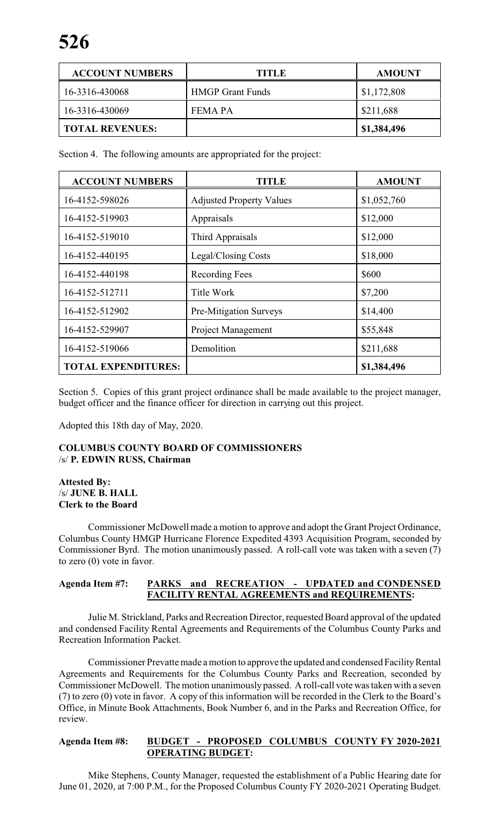| <b>ACCOUNT NUMBERS</b> | <b>TITLE</b>            | <b>AMOUNT</b> |
|------------------------|-------------------------|---------------|
| 16-3316-430068         | <b>HMGP Grant Funds</b> | \$1,172,808   |
| 16-3316-430069         | FEMA PA                 | \$211,688     |
| <b>TOTAL REVENUES:</b> |                         | \$1,384,496   |

Section 4. The following amounts are appropriated for the project:

| <b>ACCOUNT NUMBERS</b>     | TITLE                           | <b>AMOUNT</b> |
|----------------------------|---------------------------------|---------------|
| 16-4152-598026             | <b>Adjusted Property Values</b> | \$1,052,760   |
| 16-4152-519903             | Appraisals                      | \$12,000      |
| 16-4152-519010             | Third Appraisals                | \$12,000      |
| 16-4152-440195             | Legal/Closing Costs             | \$18,000      |
| 16-4152-440198             | Recording Fees                  | \$600         |
| 16-4152-512711             | Title Work                      | \$7,200       |
| 16-4152-512902             | Pre-Mitigation Surveys          | \$14,400      |
| 16-4152-529907             | Project Management              | \$55,848      |
| 16-4152-519066             | Demolition                      | \$211,688     |
| <b>TOTAL EXPENDITURES:</b> |                                 | \$1,384,496   |

Section 5. Copies of this grant project ordinance shall be made available to the project manager, budget officer and the finance officer for direction in carrying out this project.

Adopted this 18th day of May, 2020.

## **COLUMBUS COUNTY BOARD OF COMMISSIONERS** /s/ **P. EDWIN RUSS, Chairman**

#### **Attested By:** /s/ **JUNE B. HALL Clerk to the Board**

Commissioner McDowell made a motion to approve and adopt the Grant Project Ordinance, Columbus County HMGP Hurricane Florence Expedited 4393 Acquisition Program, seconded by Commissioner Byrd. The motion unanimously passed. A roll-call vote was taken with a seven (7) to zero (0) vote in favor.

## **Agenda Item #7: PARKS and RECREATION - UPDATED and CONDENSED FACILITY RENTAL AGREEMENTS and REQUIREMENTS:**

Julie M. Strickland, Parks and Recreation Director, requested Board approval of the updated and condensed Facility Rental Agreements and Requirements of the Columbus County Parks and Recreation Information Packet.

Commissioner Prevatte made a motion to approve the updated and condensed Facility Rental Agreements and Requirements for the Columbus County Parks and Recreation, seconded by Commissioner McDowell. The motion unanimously passed. A roll-call vote was taken with a seven (7) to zero (0) vote in favor. A copy of this information will be recorded in the Clerk to the Board's Office, in Minute Book Attachments, Book Number 6, and in the Parks and Recreation Office, for review.

## **Agenda Item #8: BUDGET - PROPOSED COLUMBUS COUNTY FY 2020-2021 OPERATING BUDGET:**

Mike Stephens, County Manager, requested the establishment of a Public Hearing date for June 01, 2020, at 7:00 P.M., for the Proposed Columbus County FY 2020-2021 Operating Budget.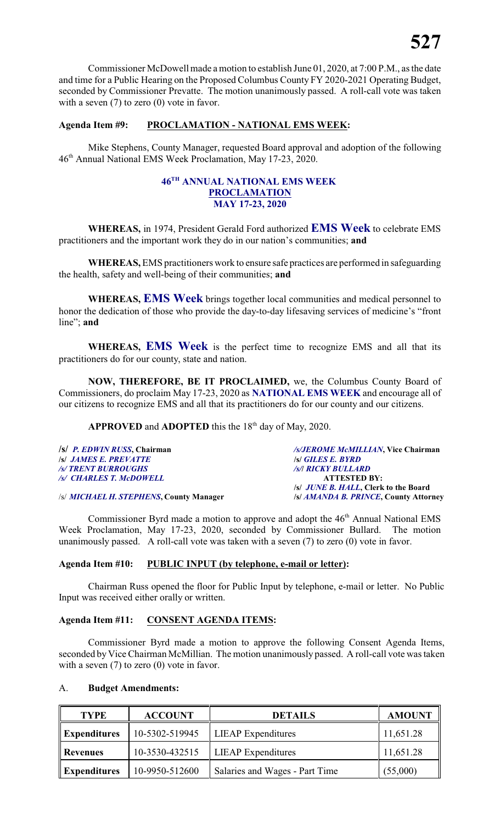Commissioner McDowell made a motion to establish June 01, 2020, at 7:00 P.M., as the date and time for a Public Hearing on the Proposed Columbus County FY 2020-2021 Operating Budget, seconded by Commissioner Prevatte. The motion unanimously passed. A roll-call vote was taken with a seven (7) to zero (0) vote in favor.

#### **Agenda Item #9: PROCLAMATION - NATIONAL EMS WEEK:**

Mike Stephens, County Manager, requested Board approval and adoption of the following 46th Annual National EMS Week Proclamation, May 17-23, 2020.

#### **46TH ANNUAL NATIONAL EMS WEEK PROCLAMATION MAY 17-23, 2020**

**WHEREAS,** in 1974, President Gerald Ford authorized **EMS Week** to celebrate EMS practitioners and the important work they do in our nation's communities; **and**

**WHEREAS,** EMS practitioners work to ensure safe practices are performed in safeguarding the health, safety and well-being of their communities; **and**

**WHEREAS, EMS Week** brings together local communities and medical personnel to honor the dedication of those who provide the day-to-day lifesaving services of medicine's "front line"; **and**

**WHEREAS, EMS Week** is the perfect time to recognize EMS and all that its practitioners do for our county, state and nation.

**NOW, THEREFORE, BE IT PROCLAIMED,** we, the Columbus County Board of Commissioners, do proclaim May 17-23, 2020 as **NATIONAL EMS WEEK** and encourage all of our citizens to recognize EMS and all that its practitioners do for our county and our citizens.

APPROVED and ADOPTED this the 18<sup>th</sup> day of May, 2020.

| /s/ P. EDWIN RUSS, Chairman                            | /s/JEROME McMILLIAN, Vice Chairman           |
|--------------------------------------------------------|----------------------------------------------|
| <b>S JAMES E. PREVATTE</b>                             | <b>S GILES E. BYRD</b>                       |
| /s/ TRENT BURROUGHS                                    | <b><i>Is/I RICKY BULLARD</i></b>             |
| /s/ CHARLES T. McDOWELL                                | <b>ATTESTED BY:</b>                          |
|                                                        | /s/ <i>JUNE B. HALL</i> , Clerk to the Board |
| $\mu$ interest in the components $\alpha$ and $\alpha$ |                                              |

/s/ *MICHAEL H. STEPHENS***, County Manager /s/** *AMANDA B. PRINCE***, County Attorney**

Commissioner Byrd made a motion to approve and adopt the 46<sup>th</sup> Annual National EMS Week Proclamation, May 17-23, 2020, seconded by Commissioner Bullard. The motion unanimously passed. A roll-call vote was taken with a seven (7) to zero (0) vote in favor.

# **Agenda Item #10: PUBLIC INPUT (by telephone, e-mail or letter):**

Chairman Russ opened the floor for Public Input by telephone, e-mail or letter. No Public Input was received either orally or written.

#### **Agenda Item #11: CONSENT AGENDA ITEMS:**

Commissioner Byrd made a motion to approve the following Consent Agenda Items, seconded by Vice Chairman McMillian. The motion unanimously passed. A roll-call vote was taken with a seven  $(7)$  to zero  $(0)$  vote in favor.

#### A. **Budget Amendments:**

| <b>TYPE</b>                           | <b>ACCOUNT</b> | <b>DETAILS</b>                 | <b>AMOUNT</b> |
|---------------------------------------|----------------|--------------------------------|---------------|
| 10-5302-519945<br><b>Expenditures</b> |                | <b>LIEAP</b> Expenditures      | 11,651.28     |
| 10-3530-432515<br>Revenues            |                | <b>LIEAP</b> Expenditures      | 11,651.28     |
| <b>Expenditures</b>                   | 10-9950-512600 | Salaries and Wages - Part Time | (55,000)      |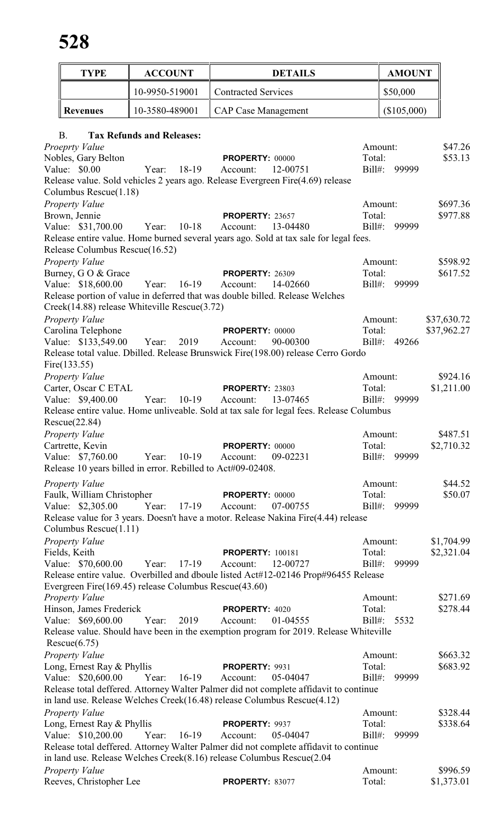| <b>TYPE</b>                                      | <b>ACCOUNT</b>                                              | <b>DETAILS</b>                                                                                                |                  | <b>AMOUNT</b> |                          |
|--------------------------------------------------|-------------------------------------------------------------|---------------------------------------------------------------------------------------------------------------|------------------|---------------|--------------------------|
|                                                  | 10-9950-519001                                              | <b>Contracted Services</b>                                                                                    |                  | \$50,000      |                          |
| <b>Revenues</b>                                  | 10-3580-489001                                              | <b>CAP Case Management</b>                                                                                    |                  | (\$105,000)   |                          |
| B.                                               | <b>Tax Refunds and Releases:</b>                            |                                                                                                               |                  |               |                          |
| Proeprty Value                                   |                                                             |                                                                                                               |                  | Amount:       | \$47.26                  |
| Nobles, Gary Belton                              |                                                             | <b>PROPERTY: 00000</b>                                                                                        | Total:           |               | \$53.13                  |
| Value: \$0.00                                    | 18-19<br>Year:                                              | 12-00751<br>Account:<br>Release value. Sold vehicles 2 years ago. Release Evergreen Fire(4.69) release        | Bill#:           | 99999         |                          |
| Columbus Rescue(1.18)                            |                                                             |                                                                                                               |                  |               |                          |
| <b>Property Value</b>                            |                                                             |                                                                                                               |                  | Amount:       | \$697.36                 |
| Brown, Jennie                                    |                                                             | <b>PROPERTY: 23657</b>                                                                                        | Total:           |               | \$977.88                 |
| Value: \$31,700.00                               | $10-18$<br>Year:                                            | 13-04480<br>Account:                                                                                          | $Bill#$ :        | 99999         |                          |
| Release Columbus Rescue(16.52)                   |                                                             | Release entire value. Home burned several years ago. Sold at tax sale for legal fees.                         |                  |               |                          |
| Property Value                                   |                                                             |                                                                                                               |                  | Amount:       | \$598.92                 |
| Burney, G O & Grace                              |                                                             | <b>PROPERTY: 26309</b>                                                                                        | Total:           |               | \$617.52                 |
| Value: \$18,600.00                               | Year:<br>$16-19$                                            | Account:<br>14-02660                                                                                          | $Bill#$ :        | 99999         |                          |
|                                                  |                                                             | Release portion of value in deferred that was double billed. Release Welches                                  |                  |               |                          |
|                                                  | Creek(14.88) release Whiteville Rescue(3.72)                |                                                                                                               |                  |               |                          |
| Property Value                                   |                                                             |                                                                                                               |                  | Amount:       | \$37,630.72              |
| Carolina Telephone<br>Value: \$133,549.00        | Year:<br>2019                                               | <b>PROPERTY: 00000</b><br>90-00300<br>Account:                                                                | Total:<br>Bill#: | 49266         | \$37,962.27              |
|                                                  |                                                             | Release total value. Dbilled. Release Brunswick Fire(198.00) release Cerro Gordo                              |                  |               |                          |
| Fire $(133.55)$                                  |                                                             |                                                                                                               |                  |               |                          |
| Property Value                                   |                                                             |                                                                                                               |                  | Amount:       | \$924.16                 |
| Carter, Oscar C ETAL                             |                                                             | <b>PROPERTY: 23803</b>                                                                                        | Total:           |               | \$1,211.00               |
| Value: \$9,400.00                                | Year:<br>$10-19$                                            | 13-07465<br>Account:                                                                                          |                  | Bill#: 99999  |                          |
|                                                  |                                                             | Release entire value. Home unliveable. Sold at tax sale for legal fees. Release Columbus                      |                  |               |                          |
| Rescue(22.84)<br><b>Property Value</b>           |                                                             |                                                                                                               |                  | Amount:       | \$487.51                 |
| Cartrette, Kevin                                 |                                                             | <b>PROPERTY: 00000</b>                                                                                        | Total:           |               | \$2,710.32               |
| Value: \$7,760.00                                | $10-19$<br>Year:                                            | 09-02231<br>Account:                                                                                          | Bill#:           | 99999         |                          |
|                                                  | Release 10 years billed in error. Rebilled to Act#09-02408. |                                                                                                               |                  |               |                          |
| <b>Property Value</b>                            |                                                             |                                                                                                               |                  | Amount:       | \$44.52                  |
| Faulk, William Christopher                       |                                                             | <b>PROPERTY: 00000</b>                                                                                        | Total:           |               | \$50.07                  |
| Value: \$2,305.00                                | Year:<br>$17-19$                                            | Account:<br>07-00755                                                                                          | $Bill#$ :        | 99999         |                          |
|                                                  |                                                             | Release value for 3 years. Doesn't have a motor. Release Nakina Fire(4.44) release                            |                  |               |                          |
| Columbus Rescue(1.11)                            |                                                             |                                                                                                               |                  |               |                          |
| Property Value<br>Fields, Keith                  |                                                             | <b>PROPERTY: 100181</b>                                                                                       | Total:           | Amount:       | \$1,704.99<br>\$2,321.04 |
| Value: \$70,600.00                               | 17-19<br>Year:                                              | Account:<br>12-00727                                                                                          | $Bill#$ :        | 99999         |                          |
|                                                  |                                                             | Release entire value. Overbilled and dboule listed Act#12-02146 Prop#96455 Release                            |                  |               |                          |
|                                                  | Evergreen Fire(169.45) release Columbus Rescue(43.60)       |                                                                                                               |                  |               |                          |
| <b>Property Value</b>                            |                                                             |                                                                                                               |                  | Amount:       | \$271.69                 |
| Hinson, James Frederick                          |                                                             | PROPERTY: 4020                                                                                                | Total:           |               | \$278.44                 |
| Value: \$69,600.00                               | 2019<br>Year:                                               | 01-04555<br>Account:<br>Release value. Should have been in the exemption program for 2019. Release Whiteville |                  | Bill#: 5532   |                          |
| Rescue(6.75)                                     |                                                             |                                                                                                               |                  |               |                          |
| Property Value                                   |                                                             |                                                                                                               |                  | Amount:       | \$663.32                 |
| Long, Ernest Ray & Phyllis                       |                                                             | PROPERTY: 9931                                                                                                | Total:           |               | \$683.92                 |
| Value: \$20,600.00                               | $16-19$<br>Year:                                            | Account:<br>05-04047                                                                                          | $Bill#$ :        | 99999         |                          |
|                                                  |                                                             | Release total deffered. Attorney Walter Palmer did not complete affidavit to continue                         |                  |               |                          |
|                                                  |                                                             | in land use. Release Welches Creek(16.48) release Columbus Rescue(4.12)                                       |                  |               |                          |
| <b>Property Value</b>                            |                                                             |                                                                                                               | Total:           | Amount:       | \$328.44<br>\$338.64     |
| Long, Ernest Ray & Phyllis<br>Value: \$10,200.00 | $16-19$<br>Year:                                            | PROPERTY: 9937<br>Account:<br>05-04047                                                                        | $Bill#$ :        | 99999         |                          |
|                                                  |                                                             | Release total deffered. Attorney Walter Palmer did not complete affidavit to continue                         |                  |               |                          |
|                                                  |                                                             | in land use. Release Welches Creek(8.16) release Columbus Rescue(2.04                                         |                  |               |                          |
| Property Value                                   |                                                             |                                                                                                               |                  | Amount:       | \$996.59                 |
| Reeves, Christopher Lee                          |                                                             | PROPERTY: 83077                                                                                               | Total:           |               | \$1,373.01               |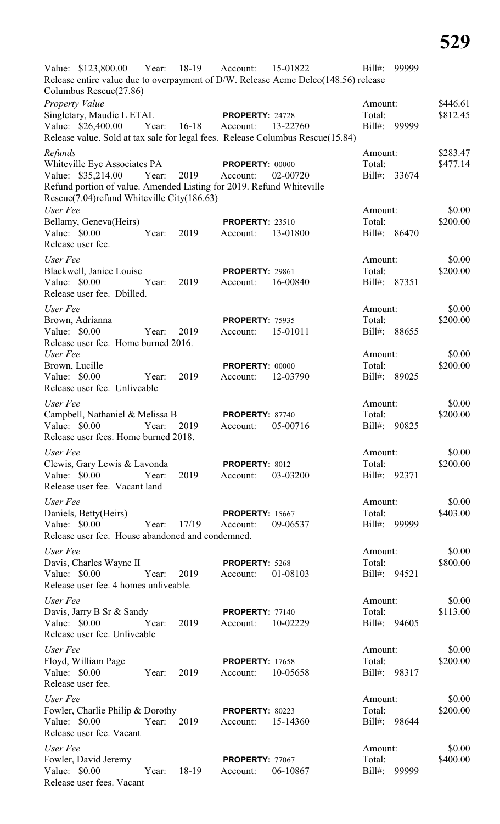| Value: \$123,800.00 Year: 18-19<br>15-01822<br>$Bill#$ :<br>Account:                                                       | 99999              |
|----------------------------------------------------------------------------------------------------------------------------|--------------------|
| Release entire value due to overpayment of D/W. Release Acme Delco(148.56) release<br>Columbus Rescue(27.86)               |                    |
| <b>Property Value</b><br>Amount:                                                                                           | \$446.61           |
| Singletary, Maudie L ETAL<br>Total:<br><b>PROPERTY: 24728</b>                                                              | \$812.45           |
| Value: \$26,400.00<br>$16-18$<br>$Bill#$ :<br>Year:<br>13-22760<br>99999<br>Account:                                       |                    |
| Release value. Sold at tax sale for legal fees. Release Columbus Rescue(15.84)                                             |                    |
| Refunds<br>Amount:                                                                                                         | \$283.47           |
| Whiteville Eye Associates PA<br>Total:<br><b>PROPERTY: 00000</b>                                                           | \$477.14           |
| Value: \$35,214.00<br>2019<br>33674<br>Year:<br>02-00720<br>$Bill#$ :<br>Account:                                          |                    |
| Refund portion of value. Amended Listing for 2019. Refund Whiteville<br>Rescue(7.04) refund Whiteville City(186.63)        |                    |
| User Fee<br>Amount:                                                                                                        | \$0.00             |
| Bellamy, Geneva(Heirs)<br>Total:<br><b>PROPERTY: 23510</b>                                                                 | \$200.00           |
| Value: \$0.00<br>2019<br>Bill#: 86470<br>Year:<br>13-01800<br>Account:                                                     |                    |
| Release user fee.                                                                                                          |                    |
| User Fee<br>Amount:                                                                                                        | \$0.00             |
| Blackwell, Janice Louise<br>Total:<br><b>PROPERTY: 29861</b>                                                               | \$200.00           |
| Value: \$0.00<br>2019<br>Bill#: 87351<br>Year:<br>16-00840<br>Account:                                                     |                    |
| Release user fee. Dbilled.                                                                                                 |                    |
| User Fee<br>Amount:                                                                                                        | \$0.00             |
| Brown, Adrianna<br>Total:<br><b>PROPERTY: 75935</b>                                                                        | \$200.00           |
| 15-01011<br>Bill#: 88655<br>Value: $$0.00$<br>2019<br>Account:<br>Year:                                                    |                    |
| Release user fee. Home burned 2016.<br>User Fee<br>Amount:                                                                 | \$0.00             |
| Brown, Lucille<br>Total:<br><b>PROPERTY: 00000</b>                                                                         | \$200.00           |
| Value: $$0.00$<br>2019<br>12-03790<br>$Bill#$ :<br>Year:<br>Account:                                                       | 89025              |
| Release user fee. Unliveable                                                                                               |                    |
| User Fee<br>Amount:                                                                                                        | \$0.00             |
| Campbell, Nathaniel & Melissa B<br>Total:<br>PROPERTY: 87740                                                               | \$200.00           |
| Value: \$0.00<br>2019<br>05-00716<br>$Bill#$ :<br>Year:<br>Account:                                                        | 90825              |
| Release user fees. Home burned 2018.                                                                                       |                    |
| User Fee<br>Amount:                                                                                                        | \$0.00             |
| Clewis, Gary Lewis & Lavonda<br>Total:<br>PROPERTY: 8012                                                                   | \$200.00           |
| Value: \$0.00<br>2019<br>Year:<br>03-03200<br>Bill#: 92371<br>Account:                                                     |                    |
| Release user fee. Vacant land                                                                                              |                    |
| User Fee<br>Amount:                                                                                                        | \$0.00             |
| Daniels, Betty(Heirs)<br>Total:<br><b>PROPERTY: 15667</b>                                                                  | \$403.00           |
| Value: \$0.00<br>Year:<br>17/19<br>09-06537<br>$Bi11#$ :<br>Account:<br>Release user fee. House abandoned and condemned.   | 99999              |
|                                                                                                                            |                    |
| User Fee<br>Amount:<br>Total:                                                                                              | \$0.00<br>\$800.00 |
| Davis, Charles Wayne II<br>PROPERTY: 5268<br>Value: \$0.00<br>2019<br>01-08103<br>Bill#: 94521<br>Year:<br>Account:        |                    |
| Release user fee. 4 homes unliveable.                                                                                      |                    |
| User Fee<br>Amount:                                                                                                        | \$0.00             |
| Davis, Jarry B Sr & Sandy<br>Total:<br><b>PROPERTY: 77140</b>                                                              | \$113.00           |
| Value: \$0.00<br>Year:<br>2019<br>10-02229<br>Bill#: 94605<br>Account:                                                     |                    |
| Release user fee. Unliveable                                                                                               |                    |
| User Fee<br>Amount:                                                                                                        | \$0.00             |
| Floyd, William Page<br>Total:<br><b>PROPERTY: 17658</b>                                                                    | \$200.00           |
| Value: $$0.00$<br>2019<br>Year:<br>10-05658<br>Bill#: 98317<br>Account:                                                    |                    |
| Release user fee.                                                                                                          |                    |
| User Fee<br>Amount:                                                                                                        | \$0.00             |
| Fowler, Charlie Philip & Dorothy<br>Total:<br>PROPERTY: 80223                                                              | \$200.00           |
| Value: \$0.00<br>Year:<br>2019<br>15-14360<br>Bill#:<br>Account:                                                           | 98644              |
|                                                                                                                            |                    |
| Release user fee. Vacant                                                                                                   |                    |
| User Fee<br>Amount:                                                                                                        | \$0.00             |
| Fowler, David Jeremy<br>Total:<br>PROPERTY: 77067<br>Value: $$0.00$<br>Year:<br>18-19<br>06-10867<br>$Bill#$ :<br>Account: | \$400.00<br>99999  |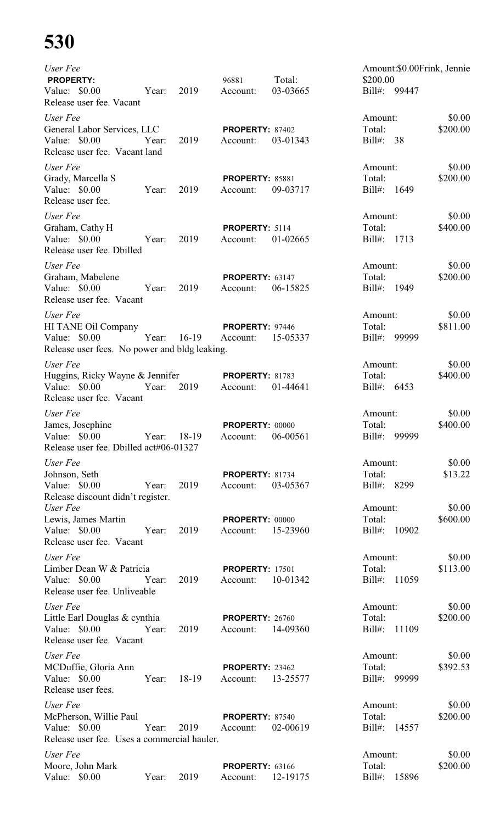# **530**

| User Fee<br><b>PROPERTY:</b>                                    |       |         | 96881                  | Total:   | Amount:\$0.00Frink, Jennie<br>\$200.00 |          |
|-----------------------------------------------------------------|-------|---------|------------------------|----------|----------------------------------------|----------|
| Value: \$0.00<br>Release user fee. Vacant                       | Year: | 2019    | Account:               | 03-03665 | Bill#: 99447                           |          |
| User Fee                                                        |       |         |                        |          | Amount:                                | \$0.00   |
| General Labor Services, LLC                                     |       |         | PROPERTY: 87402        |          | Total:                                 | \$200.00 |
| Value: \$0.00<br>Release user fee. Vacant land                  | Year: | 2019    | Account:               | 03-01343 | $Bill#$ :<br>38                        |          |
| User Fee                                                        |       |         |                        |          | Amount:                                | \$0.00   |
| Grady, Marcella S                                               |       |         | <b>PROPERTY: 85881</b> |          | Total:                                 | \$200.00 |
| Value: \$0.00<br>Release user fee.                              | Year: | 2019    | Account:               | 09-03717 | $Bill#$ :<br>1649                      |          |
| User Fee                                                        |       |         |                        |          | Amount:                                | \$0.00   |
| Graham, Cathy H                                                 |       |         | PROPERTY: 5114         |          | Total:                                 | \$400.00 |
| Value: \$0.00<br>Release user fee. Dbilled                      | Year: | 2019    | Account:               | 01-02665 | $Bill#$ :<br>1713                      |          |
| User Fee                                                        |       |         |                        |          | Amount:                                | \$0.00   |
| Graham, Mabelene                                                |       |         | <b>PROPERTY: 63147</b> |          | Total:                                 | \$200.00 |
| Value: $$0.00$<br>Release user fee. Vacant                      | Year: | 2019    | Account:               | 06-15825 | $Bill#$ :<br>1949                      |          |
| User Fee                                                        |       |         |                        |          | Amount:                                | \$0.00   |
| HI TANE Oil Company                                             |       |         | PROPERTY: 97446        |          | Total:                                 | \$811.00 |
| Value: $$0.00$<br>Release user fees. No power and bldg leaking. | Year: | $16-19$ | Account:               | 15-05337 | $Bill#$ :<br>99999                     |          |
| User Fee                                                        |       |         |                        |          | Amount:                                | \$0.00   |
| Huggins, Ricky Wayne & Jennifer                                 |       |         | PROPERTY: 81783        |          | Total:                                 | \$400.00 |
| Value: $$0.00$<br>Release user fee. Vacant                      | Year: | 2019    | Account:               | 01-44641 | $Bill#$ :<br>6453                      |          |
| User Fee                                                        |       |         |                        |          | Amount:                                | \$0.00   |
| James, Josephine                                                |       |         | <b>PROPERTY: 00000</b> |          | Total:                                 | \$400.00 |
| Value: \$0.00<br>Release user fee. Dbilled act#06-01327         | Year: | 18-19   | Account:               | 06-00561 | 99999<br>$Bill#$ :                     |          |
| User Fee                                                        |       |         |                        |          | Amount:                                | \$0.00   |
| Johnson, Seth                                                   |       |         | <b>PROPERTY: 81734</b> |          | Total:                                 | \$13.22  |
| Value: \$0.00<br>Release discount didn't register.              | Year: | 2019    | Account:               | 03-05367 | 8299<br>$Bill#$ :                      |          |
| User Fee                                                        |       |         |                        |          | Amount:                                | \$0.00   |
| Lewis, James Martin                                             |       |         | <b>PROPERTY: 00000</b> |          | Total:                                 | \$600.00 |
| Value: \$0.00<br>Release user fee. Vacant                       | Year: | 2019    | Account:               | 15-23960 | 10902<br>$Bill#$ :                     |          |
| User Fee                                                        |       |         |                        |          | Amount:                                | \$0.00   |
| Limber Dean W & Patricia                                        |       |         | <b>PROPERTY: 17501</b> |          | Total:                                 | \$113.00 |
| Value: \$0.00<br>Release user fee. Unliveable                   | Year: | 2019    | Account:               | 10-01342 | $Bill#$ :<br>11059                     |          |
| User Fee                                                        |       |         |                        |          | Amount:                                | \$0.00   |
| Little Earl Douglas & cynthia                                   |       |         | <b>PROPERTY: 26760</b> |          | Total:                                 | \$200.00 |
| Value: $$0.00$<br>Release user fee. Vacant                      | Year: | 2019    | Account:               | 14-09360 | $Bill#$ :<br>11109                     |          |
| User Fee                                                        |       |         |                        |          | Amount:                                | \$0.00   |
| MCDuffie, Gloria Ann                                            |       |         | PROPERTY: 23462        |          | Total:                                 | \$392.53 |
| Value: \$0.00<br>Release user fees.                             | Year: | 18-19   | Account:               | 13-25577 | Bill#:<br>99999                        |          |
| User Fee                                                        |       |         |                        |          | Amount:                                | \$0.00   |
| McPherson, Willie Paul                                          |       |         | <b>PROPERTY: 87540</b> |          | Total:                                 | \$200.00 |
| Value: \$0.00<br>Release user fee. Uses a commercial hauler.    | Year: | 2019    | Account:               | 02-00619 | $Bill#$ :<br>14557                     |          |
| User Fee                                                        |       |         |                        |          | Amount:                                | \$0.00   |
| Moore, John Mark                                                |       |         | <b>PROPERTY: 63166</b> |          | Total:                                 | \$200.00 |
| Value: \$0.00                                                   | Year: | 2019    | Account:               | 12-19175 | $Bill#$ :<br>15896                     |          |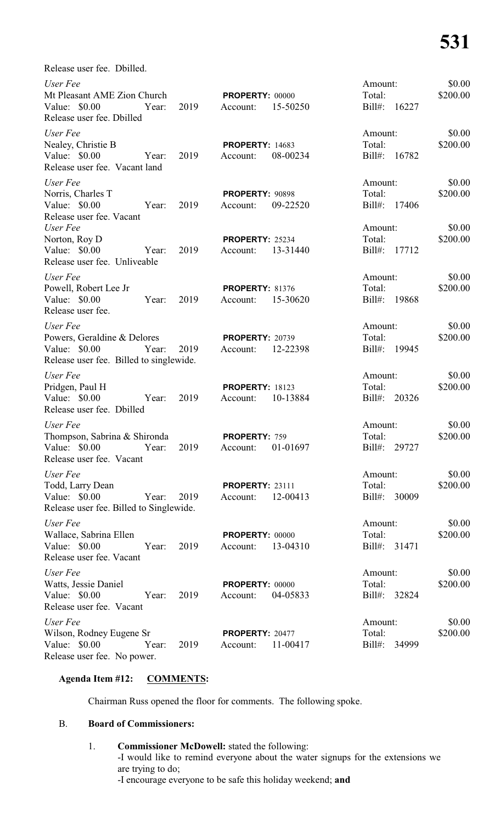Release user fee. Dbilled.

| User Fee                                     |       |      |                             |          | Amount:           |       | \$0.00             |
|----------------------------------------------|-------|------|-----------------------------|----------|-------------------|-------|--------------------|
| Mt Pleasant AME Zion Church                  |       |      | <b>PROPERTY: 00000</b>      |          | Total:            |       | \$200.00           |
| Value: \$0.00                                | Year: | 2019 | Account:                    | 15-50250 | Bill#: 16227      |       |                    |
| Release user fee. Dbilled                    |       |      |                             |          |                   |       |                    |
| User Fee                                     |       |      |                             |          | Amount:           |       | \$0.00             |
| Nealey, Christie B                           |       |      | <b>PROPERTY: 14683</b>      |          | Total:            |       | \$200.00           |
| Value: \$0.00                                | Year: | 2019 | Account:                    | 08-00234 | Bill#: 16782      |       |                    |
| Release user fee. Vacant land                |       |      |                             |          |                   |       |                    |
| User Fee                                     |       |      |                             |          | Amount:           |       | \$0.00             |
| Norris, Charles T                            |       |      | <b>PROPERTY: 90898</b>      |          | Total:            |       | \$200.00           |
| Value: \$0.00                                | Year: | 2019 | Account:                    | 09-22520 | Bill#:            | 17406 |                    |
| Release user fee. Vacant                     |       |      |                             |          |                   |       |                    |
| User Fee                                     |       |      |                             |          | Amount:           |       | \$0.00             |
| Norton, Roy D                                |       |      | PROPERTY: 25234             |          | Total:            |       | \$200.00           |
| Value: \$0.00                                | Year: | 2019 | Account:                    | 13-31440 | $Bill#$ :         | 17712 |                    |
| Release user fee. Unliveable                 |       |      |                             |          |                   |       |                    |
| User Fee                                     |       |      |                             |          | Amount:           |       | \$0.00             |
| Powell, Robert Lee Jr                        |       |      | <b>PROPERTY: 81376</b>      |          | Total:            |       | \$200.00           |
| Value: \$0.00                                | Year: | 2019 | Account:                    | 15-30620 | Bill#:            | 19868 |                    |
| Release user fee.                            |       |      |                             |          |                   |       |                    |
| User Fee<br>Amount:                          |       |      |                             |          |                   |       | \$0.00             |
| Powers, Geraldine & Delores                  |       |      | <b>PROPERTY: 20739</b>      |          | Total:            |       | \$200.00           |
| Value: $$0.00$                               | Year: | 2019 | Account:                    | 12-22398 | Bill#: 19945      |       |                    |
| Release user fee. Billed to singlewide.      |       |      |                             |          |                   |       |                    |
| User Fee                                     |       |      |                             |          | Amount:           |       | \$0.00             |
| Pridgen, Paul H                              |       |      | <b>PROPERTY: 18123</b>      |          | Total:            |       | \$200.00           |
| Value: $$0.00$                               | Year: | 2019 | Account:                    | 10-13884 | Bill#: 20326      |       |                    |
| Release user fee. Dbilled                    |       |      |                             |          |                   |       |                    |
| User Fee<br>Amount:                          |       |      |                             |          |                   |       | \$0.00             |
| Thompson, Sabrina & Shironda                 |       |      | <b>PROPERTY: 759</b>        |          | Total:            |       | \$200.00           |
| Value: \$0.00                                | Year: | 2019 | Account:                    | 01-01697 | Bill#: 29727      |       |                    |
| Release user fee. Vacant                     |       |      |                             |          |                   |       |                    |
| User Fee                                     |       |      |                             |          | Amount:           |       | \$0.00             |
| Todd, Larry Dean                             |       |      | <b>PROPERTY: 23111</b>      |          | Total:            |       | \$200.00           |
| Value: \$0.00                                | Year: | 2019 | Account:                    | 12-00413 | Bill#:            | 30009 |                    |
| Release user fee. Billed to Singlewide.      |       |      |                             |          |                   |       |                    |
| User Fee                                     |       |      |                             |          | Amount:           |       | \$0.00             |
| Wallace, Sabrina Ellen                       |       |      | <b>PROPERTY: 00000</b>      |          | Total:            |       | \$200.00           |
| Value: $$0.00$                               | Year: | 2019 | Account:                    | 13-04310 | Bill#:            | 31471 |                    |
| Release user fee. Vacant                     |       |      |                             |          |                   |       |                    |
|                                              |       |      |                             |          |                   |       |                    |
| User Fee                                     |       |      |                             |          | Amount:<br>Total: |       | \$0.00<br>\$200.00 |
| Watts, Jessie Daniel<br>Value: $$0.00$       | Year: | 2019 | PROPERTY: 00000<br>Account: | 04-05833 | Bill#:            | 32824 |                    |
| Release user fee. Vacant                     |       |      |                             |          |                   |       |                    |
|                                              |       |      |                             |          |                   |       |                    |
| User Fee                                     |       |      |                             |          | Amount:           |       | \$0.00             |
| Wilson, Rodney Eugene Sr                     |       |      | <b>PROPERTY: 20477</b>      |          | Total:            |       | \$200.00           |
| Value: \$0.00<br>Release user fee. No power. | Year: | 2019 | Account:                    | 11-00417 | Bill#:            | 34999 |                    |
|                                              |       |      |                             |          |                   |       |                    |

# **Agenda Item #12: COMMENTS:**

Chairman Russ opened the floor for comments. The following spoke.

# B. **Board of Commissioners:**

1. **Commissioner McDowell:** stated the following: -I would like to remind everyone about the water signups for the extensions we are trying to do; -I encourage everyone to be safe this holiday weekend; **and**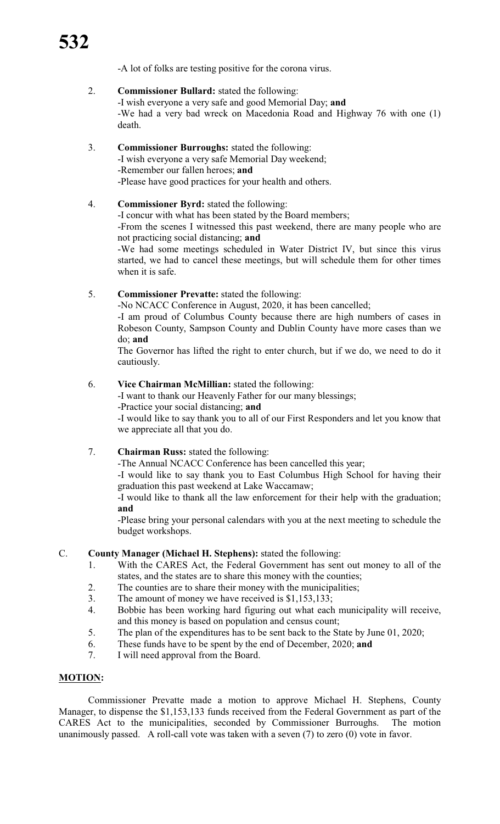-A lot of folks are testing positive for the corona virus.

- 2. **Commissioner Bullard:** stated the following: -I wish everyone a very safe and good Memorial Day; **and** -We had a very bad wreck on Macedonia Road and Highway 76 with one (1) death.
- 3. **Commissioner Burroughs:** stated the following: -I wish everyone a very safe Memorial Day weekend; -Remember our fallen heroes; **and** -Please have good practices for your health and others.

# 4. **Commissioner Byrd:** stated the following:

-I concur with what has been stated by the Board members;

-From the scenes I witnessed this past weekend, there are many people who are not practicing social distancing; **and**

-We had some meetings scheduled in Water District IV, but since this virus started, we had to cancel these meetings, but will schedule them for other times when it is safe.

# 5. **Commissioner Prevatte:** stated the following:

-No NCACC Conference in August, 2020, it has been cancelled;

-I am proud of Columbus County because there are high numbers of cases in Robeson County, Sampson County and Dublin County have more cases than we do; **and**

The Governor has lifted the right to enter church, but if we do, we need to do it cautiously.

# 6. **Vice Chairman McMillian:** stated the following:

-I want to thank our Heavenly Father for our many blessings; -Practice your social distancing; **and**

-I would like to say thank you to all of our First Responders and let you know that we appreciate all that you do.

# 7. **Chairman Russ:** stated the following:

-The Annual NCACC Conference has been cancelled this year;

-I would like to say thank you to East Columbus High School for having their graduation this past weekend at Lake Waccamaw;

-I would like to thank all the law enforcement for their help with the graduation; **and**

-Please bring your personal calendars with you at the next meeting to schedule the budget workshops.

# C. **County Manager (Michael H. Stephens):** stated the following:

- 1. With the CARES Act, the Federal Government has sent out money to all of the states, and the states are to share this money with the counties;
- 2. The counties are to share their money with the municipalities;
- 3. The amount of money we have received is \$1,153,133;
- 4. Bobbie has been working hard figuring out what each municipality will receive, and this money is based on population and census count;
- 5. The plan of the expenditures has to be sent back to the State by June 01, 2020;
- 6. These funds have to be spent by the end of December, 2020; **and**
- 7. I will need approval from the Board.

# **MOTION:**

Commissioner Prevatte made a motion to approve Michael H. Stephens, County Manager, to dispense the \$1,153,133 funds received from the Federal Government as part of the CARES Act to the municipalities, seconded by Commissioner Burroughs. The motion unanimously passed. A roll-call vote was taken with a seven (7) to zero (0) vote in favor.